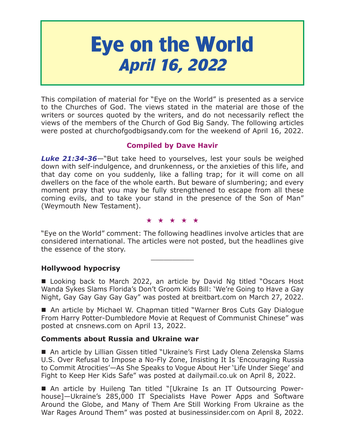# **Eye on the World April 16, 2022**

This compilation of material for "Eye on the World" is presented as a service to the Churches of God. The views stated in the material are those of the writers or sources quoted by the writers, and do not necessarily reflect the views of the members of the Church of God Big Sandy. The following articles were posted at churchofgodbigsandy.com for the weekend of April 16, 2022.

# **Compiled by Dave Havir**

*Luke 21:34-36*—"But take heed to yourselves, lest your souls be weighed down with self-indulgence, and drunkenness, or the anxieties of this life, and that day come on you suddenly, like a falling trap; for it will come on all dwellers on the face of the whole earth. But beware of slumbering; and every moment pray that you may be fully strengthened to escape from all these coming evils, and to take your stand in the presence of the Son of Man" (Weymouth New Testament).

#### ★★★★★

"Eye on the World" comment: The following headlines involve articles that are considered international. The articles were not posted, but the headlines give the essence of the story.

 $\overline{\phantom{a}}$  , where  $\overline{\phantom{a}}$ 

# **Hollywood hypocrisy**

■ Looking back to March 2022, an article by David Ng titled "Oscars Host Wanda Sykes Slams Florida's Don't Groom Kids Bill: 'We're Going to Have a Gay Night, Gay Gay Gay Gay Gay" was posted at breitbart.com on March 27, 2022.

■ An article by Michael W. Chapman titled "Warner Bros Cuts Gay Dialogue From Harry Potter-Dumbledore Movie at Request of Communist Chinese" was posted at cnsnews.com on April 13, 2022.

## **Comments about Russia and Ukraine war**

■ An article by Lillian Gissen titled "Ukraine's First Lady Olena Zelenska Slams U.S. Over Refusal to Impose a No-Fly Zone, Insisting It Is 'Encouraging Russia to Commit Atrocities'—As She Speaks to Vogue About Her 'Life Under Siege' and Fight to Keep Her Kids Safe" was posted at dailymail.co.uk on April 8, 2022.

■ An article by Huileng Tan titled "[Ukraine Is an IT Outsourcing Powerhouse]—Ukraine's 285,000 IT Specialists Have Power Apps and Software Around the Globe, and Many of Them Are Still Working From Ukraine as the War Rages Around Them" was posted at businessinsider.com on April 8, 2022.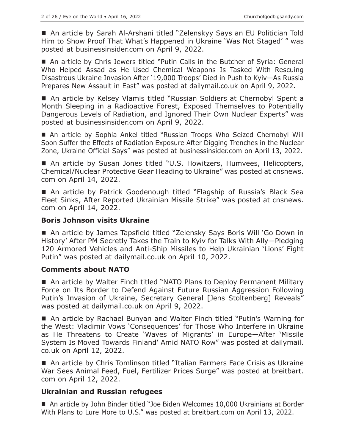■ An article by Sarah Al-Arshani titled "Zelenskyy Says an EU Politician Told Him to Show Proof That What's Happened in Ukraine 'Was Not Staged' " was posted at businessinsider.com on April 9, 2022.

 An article by Chris Jewers titled "Putin Calls in the Butcher of Syria: General Who Helped Assad as He Used Chemical Weapons Is Tasked With Rescuing Disastrous Ukraine Invasion After '19,000 Troops' Died in Push to Kyiv—As Russia Prepares New Assault in East" was posted at dailymail.co.uk on April 9, 2022.

■ An article by Kelsey Vlamis titled "Russian Soldiers at Chernobyl Spent a Month Sleeping in a Radioactive Forest, Exposed Themselves to Potentially Dangerous Levels of Radiation, and Ignored Their Own Nuclear Experts" was posted at businessinsider.com on April 9, 2022.

 An article by Sophia Ankel titled "Russian Troops Who Seized Chernobyl Will Soon Suffer the Effects of Radiation Exposure After Digging Trenches in the Nuclear Zone, Ukraine Official Says" was posted at businessinsider.com on April 13, 2022.

■ An article by Susan Jones titled "U.S. Howitzers, Humvees, Helicopters, Chemical/Nuclear Protective Gear Heading to Ukraine" was posted at cnsnews. com on April 14, 2022.

 An article by Patrick Goodenough titled "Flagship of Russia's Black Sea Fleet Sinks, After Reported Ukrainian Missile Strike" was posted at cnsnews. com on April 14, 2022.

## **Boris Johnson visits Ukraine**

■ An article by James Tapsfield titled "Zelensky Says Boris Will 'Go Down in History' After PM Secretly Takes the Train to Kyiv for Talks With Ally—Pledging 120 Armored Vehicles and Anti-Ship Missiles to Help Ukrainian 'Lions' Fight Putin" was posted at dailymail.co.uk on April 10, 2022.

## **Comments about NATO**

 An article by Walter Finch titled "NATO Plans to Deploy Permanent Military Force on Its Border to Defend Against Future Russian Aggression Following Putin's Invasion of Ukraine, Secretary General [Jens Stoltenberg] Reveals" was posted at dailymail.co.uk on April 9, 2022.

■ An article by Rachael Bunyan and Walter Finch titled "Putin's Warning for the West: Vladimir Vows 'Consequences' for Those Who Interfere in Ukraine as He Threatens to Create 'Waves of Migrants' in Europe—After 'Missile System Is Moved Towards Finland' Amid NATO Row" was posted at dailymail. co.uk on April 12, 2022.

■ An article by Chris Tomlinson titled "Italian Farmers Face Crisis as Ukraine War Sees Animal Feed, Fuel, Fertilizer Prices Surge" was posted at breitbart. com on April 12, 2022.

# **Ukrainian and Russian refugees**

■ An article by John Binder titled "Joe Biden Welcomes 10,000 Ukrainians at Border With Plans to Lure More to U.S." was posted at breitbart.com on April 13, 2022.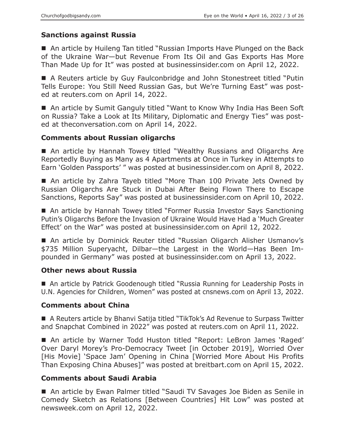# **Sanctions against Russia**

■ An article by Huileng Tan titled "Russian Imports Have Plunged on the Back of the Ukraine War—but Revenue From Its Oil and Gas Exports Has More Than Made Up for It" was posted at businessinsider.com on April 12, 2022.

■ A Reuters article by Guy Faulconbridge and John Stonestreet titled "Putin Tells Europe: You Still Need Russian Gas, but We're Turning East" was posted at reuters.com on April 14, 2022.

■ An article by Sumit Ganguly titled "Want to Know Why India Has Been Soft on Russia? Take a Look at Its Military, Diplomatic and Energy Ties" was posted at theconversation.com on April 14, 2022.

## **Comments about Russian oligarchs**

■ An article by Hannah Towey titled "Wealthy Russians and Oligarchs Are Reportedly Buying as Many as 4 Apartments at Once in Turkey in Attempts to Earn 'Golden Passports' " was posted at businessinsider.com on April 8, 2022.

■ An article by Zahra Tayeb titled "More Than 100 Private Jets Owned by Russian Oligarchs Are Stuck in Dubai After Being Flown There to Escape Sanctions, Reports Say" was posted at businessinsider.com on April 10, 2022.

■ An article by Hannah Towey titled "Former Russia Investor Says Sanctioning Putin's Oligarchs Before the Invasion of Ukraine Would Have Had a 'Much Greater Effect' on the War" was posted at businessinsider.com on April 12, 2022.

■ An article by Dominick Reuter titled "Russian Oligarch Alisher Usmanov's \$735 Million Superyacht, Dilbar—the Largest in the World—Has Been Impounded in Germany" was posted at businessinsider.com on April 13, 2022.

## **Other news about Russia**

■ An article by Patrick Goodenough titled "Russia Running for Leadership Posts in U.N. Agencies for Children, Women" was posted at cnsnews.com on April 13, 2022.

## **Comments about China**

■ A Reuters article by Bhanvi Satija titled "TikTok's Ad Revenue to Surpass Twitter and Snapchat Combined in 2022" was posted at reuters.com on April 11, 2022.

 An article by Warner Todd Huston titled "Report: LeBron James 'Raged' Over Daryl Morey's Pro-Democracy Tweet [in October 2019], Worried Over [His Movie] 'Space Jam' Opening in China [Worried More About His Profits Than Exposing China Abuses]" was posted at breitbart.com on April 15, 2022.

## **Comments about Saudi Arabia**

■ An article by Ewan Palmer titled "Saudi TV Savages Joe Biden as Senile in Comedy Sketch as Relations [Between Countries] Hit Low" was posted at newsweek.com on April 12, 2022.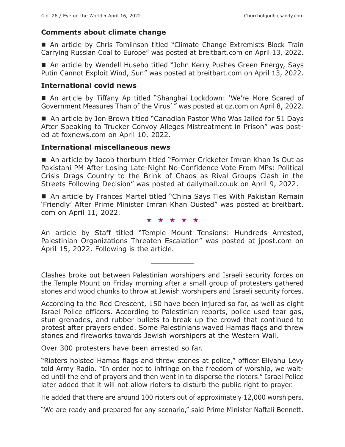## **Comments about climate change**

■ An article by Chris Tomlinson titled "Climate Change Extremists Block Train Carrying Russian Coal to Europe" was posted at breitbart.com on April 13, 2022.

■ An article by Wendell Husebo titled "John Kerry Pushes Green Energy, Says Putin Cannot Exploit Wind, Sun" was posted at breitbart.com on April 13, 2022.

#### **International covid news**

■ An article by Tiffany Ap titled "Shanghai Lockdown: 'We're More Scared of Government Measures Than of the Virus' " was posted at qz.com on April 8, 2022.

■ An article by Jon Brown titled "Canadian Pastor Who Was Jailed for 51 Davs After Speaking to Trucker Convoy Alleges Mistreatment in Prison" was posted at foxnews.com on April 10, 2022.

#### **International miscellaneous news**

■ An article by Jacob thorburn titled "Former Cricketer Imran Khan Is Out as Pakistani PM After Losing Late-Night No-Confidence Vote From MPs: Political Crisis Drags Country to the Brink of Chaos as Rival Groups Clash in the Streets Following Decision" was posted at dailymail.co.uk on April 9, 2022.

■ An article by Frances Martel titled "China Says Ties With Pakistan Remain 'Friendly' After Prime Minister Imran Khan Ousted" was posted at breitbart. com on April 11, 2022.

★★★★★

An article by Staff titled "Temple Mount Tensions: Hundreds Arrested, Palestinian Organizations Threaten Escalation" was posted at jpost.com on April 15, 2022. Following is the article.

 $\overline{\phantom{a}}$  , where  $\overline{\phantom{a}}$ 

Clashes broke out between Palestinian worshipers and Israeli security forces on the Temple Mount on Friday morning after a small group of protesters gathered stones and wood chunks to throw at Jewish worshipers and Israeli security forces.

According to the Red Crescent, 150 have been injured so far, as well as eight Israel Police officers. According to Palestinian reports, police used tear gas, stun grenades, and rubber bullets to break up the crowd that continued to protest after prayers ended. Some Palestinians waved Hamas flags and threw stones and fireworks towards Jewish worshipers at the Western Wall.

Over 300 protesters have been arrested so far.

"Rioters hoisted Hamas flags and threw stones at police," officer Eliyahu Levy told Army Radio. "In order not to infringe on the freedom of worship, we waited until the end of prayers and then went in to disperse the rioters." Israel Police later added that it will not allow rioters to disturb the public right to prayer.

He added that there are around 100 rioters out of approximately 12,000 worshipers.

"We are ready and prepared for any scenario," said Prime Minister Naftali Bennett.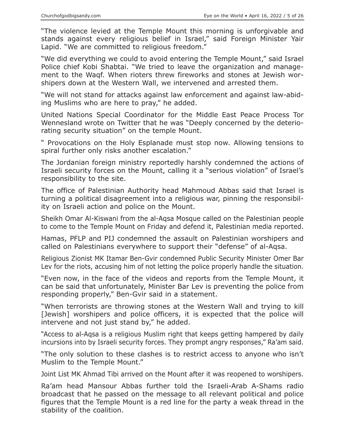"The violence levied at the Temple Mount this morning is unforgivable and stands against every religious belief in Israel," said Foreign Minister Yair Lapid. "We are committed to religious freedom."

"We did everything we could to avoid entering the Temple Mount," said Israel Police chief Kobi Shabtai. "We tried to leave the organization and management to the Waqf. When rioters threw fireworks and stones at Jewish worshipers down at the Western Wall, we intervened and arrested them.

"We will not stand for attacks against law enforcement and against law-abiding Muslims who are here to pray," he added.

United Nations Special Coordinator for the Middle East Peace Process Tor Wennesland wrote on Twitter that he was "Deeply concerned by the deteriorating security situation" on the temple Mount.

" Provocations on the Holy Esplanade must stop now. Allowing tensions to spiral further only risks another escalation."

The Jordanian foreign ministry reportedly harshly condemned the actions of Israeli security forces on the Mount, calling it a "serious violation" of Israel's responsibility to the site.

The office of Palestinian Authority head Mahmoud Abbas said that Israel is turning a political disagreement into a religious war, pinning the responsibility on Israeli action and police on the Mount.

Sheikh Omar Al-Kiswani from the al-Aqsa Mosque called on the Palestinian people to come to the Temple Mount on Friday and defend it, Palestinian media reported.

Hamas, PFLP and PIJ condemned the assault on Palestinian worshipers and called on Palestinians everywhere to support their "defense" of al-Aqsa.

Religious Zionist MK Itamar Ben-Gvir condemned Public Security Minister Omer Bar Lev for the riots, accusing him of not letting the police properly handle the situation.

"Even now, in the face of the videos and reports from the Temple Mount, it can be said that unfortunately, Minister Bar Lev is preventing the police from responding properly," Ben-Gvir said in a statement.

"When terrorists are throwing stones at the Western Wall and trying to kill [Jewish] worshipers and police officers, it is expected that the police will intervene and not just stand by," he added.

"Access to al-Aqsa is a religious Muslim right that keeps getting hampered by daily incursions into by Israeli security forces. They prompt angry responses," Ra'am said.

"The only solution to these clashes is to restrict access to anyone who isn't Muslim to the Temple Mount."

Joint List MK Ahmad Tibi arrived on the Mount after it was reopened to worshipers.

Ra'am head Mansour Abbas further told the Israeli-Arab A-Shams radio broadcast that he passed on the message to all relevant political and police figures that the Temple Mount is a red line for the party a weak thread in the stability of the coalition.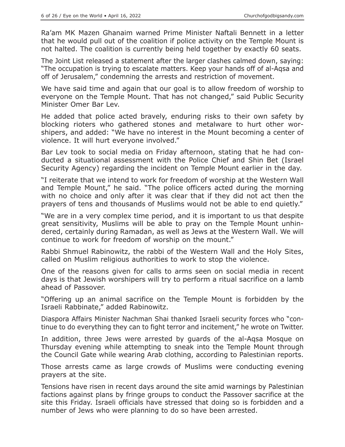Ra'am MK Mazen Ghanaim warned Prime Minister Naftali Bennett in a letter that he would pull out of the coalition if police activity on the Temple Mount is not halted. The coalition is currently being held together by exactly 60 seats.

The Joint List released a statement after the larger clashes calmed down, saying: "The occupation is trying to escalate matters. Keep your hands off of al-Aqsa and off of Jerusalem," condemning the arrests and restriction of movement.

We have said time and again that our goal is to allow freedom of worship to everyone on the Temple Mount. That has not changed," said Public Security Minister Omer Bar Lev.

He added that police acted bravely, enduring risks to their own safety by blocking rioters who gathered stones and metalware to hurt other worshipers, and added: "We have no interest in the Mount becoming a center of violence. It will hurt everyone involved."

Bar Lev took to social media on Friday afternoon, stating that he had conducted a situational assessment with the Police Chief and Shin Bet (Israel Security Agency) regarding the incident on Temple Mount earlier in the day.

"I reiterate that we intend to work for freedom of worship at the Western Wall and Temple Mount," he said. "The police officers acted during the morning with no choice and only after it was clear that if they did not act then the prayers of tens and thousands of Muslims would not be able to end quietly."

"We are in a very complex time period, and it is important to us that despite great sensitivity, Muslims will be able to pray on the Temple Mount unhindered, certainly during Ramadan, as well as Jews at the Western Wall. We will continue to work for freedom of worship on the mount."

Rabbi Shmuel Rabinowitz, the rabbi of the Western Wall and the Holy Sites, called on Muslim religious authorities to work to stop the violence.

One of the reasons given for calls to arms seen on social media in recent days is that Jewish worshipers will try to perform a ritual sacrifice on a lamb ahead of Passover.

"Offering up an animal sacrifice on the Temple Mount is forbidden by the Israeli Rabbinate," added Rabinowitz.

Diaspora Affairs Minister Nachman Shai thanked Israeli security forces who "continue to do everything they can to fight terror and incitement," he wrote on Twitter.

In addition, three Jews were arrested by guards of the al-Aqsa Mosque on Thursday evening while attempting to sneak into the Temple Mount through the Council Gate while wearing Arab clothing, according to Palestinian reports.

Those arrests came as large crowds of Muslims were conducting evening prayers at the site.

Tensions have risen in recent days around the site amid warnings by Palestinian factions against plans by fringe groups to conduct the Passover sacrifice at the site this Friday. Israeli officials have stressed that doing so is forbidden and a number of Jews who were planning to do so have been arrested.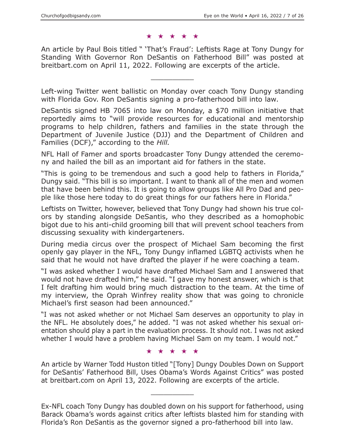#### ★★★★★

An article by Paul Bois titled " 'That's Fraud': Leftists Rage at Tony Dungy for Standing With Governor Ron DeSantis on Fatherhood Bill" was posted at breitbart.com on April 11, 2022. Following are excerpts of the article.

Left-wing Twitter went ballistic on Monday over coach Tony Dungy standing with Florida Gov. Ron DeSantis signing a pro-fatherhood bill into law.

 $\overline{\phantom{a}}$  , where  $\overline{\phantom{a}}$ 

DeSantis signed HB 7065 into law on Monday, a \$70 million initiative that reportedly aims to "will provide resources for educational and mentorship programs to help children, fathers and families in the state through the Department of Juvenile Justice (DJJ) and the Department of Children and Families (DCF)," according to the *Hill.*

NFL Hall of Famer and sports broadcaster Tony Dungy attended the ceremony and hailed the bill as an important aid for fathers in the state.

"This is going to be tremendous and such a good help to fathers in Florida," Dungy said. "This bill is so important. I want to thank all of the men and women that have been behind this. It is going to allow groups like All Pro Dad and people like those here today to do great things for our fathers here in Florida."

Leftists on Twitter, however, believed that Tony Dungy had shown his true colors by standing alongside DeSantis, who they described as a homophobic bigot due to his anti-child grooming bill that will prevent school teachers from discussing sexuality with kindergarteners.

During media circus over the prospect of Michael Sam becoming the first openly gay player in the NFL, Tony Dungy inflamed LGBTQ activists when he said that he would not have drafted the player if he were coaching a team.

"I was asked whether I would have drafted Michael Sam and I answered that would not have drafted him," he said. "I gave my honest answer, which is that I felt drafting him would bring much distraction to the team. At the time of my interview, the Oprah Winfrey reality show that was going to chronicle Michael's first season had been announced."

"I was not asked whether or not Michael Sam deserves an opportunity to play in the NFL. He absolutely does," he added. "I was not asked whether his sexual orientation should play a part in the evaluation process. It should not. I was not asked whether I would have a problem having Michael Sam on my team. I would not."

★★★★★

An article by Warner Todd Huston titled "[Tony] Dungy Doubles Down on Support for DeSantis' Fatherhood Bill, Uses Obama's Words Against Critics" was posted at breitbart.com on April 13, 2022. Following are excerpts of the article.

 $\overline{\phantom{a}}$  , where  $\overline{\phantom{a}}$ 

Ex-NFL coach Tony Dungy has doubled down on his support for fatherhood, using Barack Obama's words against critics after leftists blasted him for standing with Florida's Ron DeSantis as the governor signed a pro-fatherhood bill into law.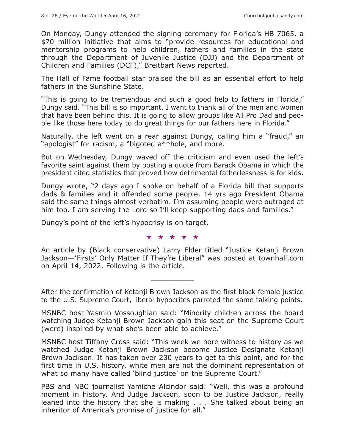On Monday, Dungy attended the signing ceremony for Florida's HB 7065, a \$70 million initiative that aims to "provide resources for educational and mentorship programs to help children, fathers and families in the state through the Department of Juvenile Justice (DJJ) and the Department of Children and Families (DCF)," Breitbart News reported.

The Hall of Fame football star praised the bill as an essential effort to help fathers in the Sunshine State.

"This is going to be tremendous and such a good help to fathers in Florida," Dungy said. "This bill is so important. I want to thank all of the men and women that have been behind this. It is going to allow groups like All Pro Dad and people like those here today to do great things for our fathers here in Florida."

Naturally, the left went on a rear against Dungy, calling him a "fraud," an "apologist" for racism, a "bigoted a\*\*hole, and more.

But on Wednesday, Dungy waved off the criticism and even used the left's favorite saint against them by posting a quote from Barack Obama in which the president cited statistics that proved how detrimental fatherlessness is for kids.

Dungy wrote, "2 days ago I spoke on behalf of a Florida bill that supports dads & families and it offended some people. 14 yrs ago President Obama said the same things almost verbatim. I'm assuming people were outraged at him too. I am serving the Lord so I'll keep supporting dads and families."

Dungy's point of the left's hypocrisy is on target.

★★★★★

An article by (Black conservative) Larry Elder titled "Justice Ketanji Brown Jackson—'Firsts' Only Matter If They're Liberal" was posted at townhall.com on April 14, 2022. Following is the article.

After the confirmation of Ketanji Brown Jackson as the first black female justice to the U.S. Supreme Court, liberal hypocrites parroted the same talking points.

 $\overline{\phantom{a}}$  , where  $\overline{\phantom{a}}$ 

MSNBC host Yasmin Vossoughian said: "Minority children across the board watching Judge Ketanji Brown Jackson gain this seat on the Supreme Court (were) inspired by what she's been able to achieve."

MSNBC host Tiffany Cross said: "This week we bore witness to history as we watched Judge Ketanji Brown Jackson become Justice Designate Ketanji Brown Jackson. It has taken over 230 years to get to this point, and for the first time in U.S. history, white men are not the dominant representation of what so many have called 'blind justice' on the Supreme Court."

PBS and NBC journalist Yamiche Alcindor said: "Well, this was a profound moment in history. And Judge Jackson, soon to be Justice Jackson, really leaned into the history that she is making . . . She talked about being an inheritor of America's promise of justice for all."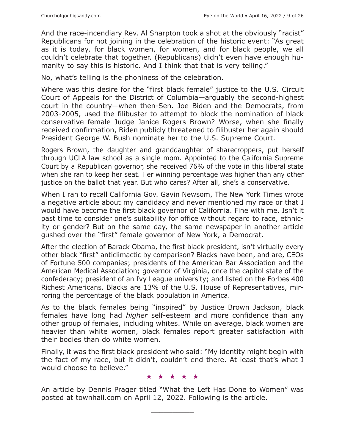And the race-incendiary Rev. Al Sharpton took a shot at the obviously "racist" Republicans for not joining in the celebration of the historic event: "As great as it is today, for black women, for women, and for black people, we all couldn't celebrate that together. (Republicans) didn't even have enough humanity to say this is historic. And I think that that is very telling."

No, what's telling is the phoniness of the celebration.

Where was this desire for the "first black female" justice to the U.S. Circuit Court of Appeals for the District of Columbia—arguably the second-highest court in the country—when then-Sen. Joe Biden and the Democrats, from 2003-2005, used the filibuster to attempt to block the nomination of black conservative female Judge Janice Rogers Brown? Worse, when she finally received confirmation, Biden publicly threatened to filibuster her again should President George W. Bush nominate her to the U.S. Supreme Court.

Rogers Brown, the daughter and granddaughter of sharecroppers, put herself through UCLA law school as a single mom. Appointed to the California Supreme Court by a Republican governor, she received 76% of the vote in this liberal state when she ran to keep her seat. Her winning percentage was higher than any other justice on the ballot that year. But who cares? After all, she's a conservative.

When I ran to recall California Gov. Gavin Newsom, The New York Times wrote a negative article about my candidacy and never mentioned my race or that I would have become the first black governor of California. Fine with me. Isn't it past time to consider one's suitability for office without regard to race, ethnicity or gender? But on the same day, the same newspaper in another article gushed over the "first" female governor of New York, a Democrat.

After the election of Barack Obama, the first black president, isn't virtually every other black "first" anticlimactic by comparison? Blacks have been, and are, CEOs of Fortune 500 companies; presidents of the American Bar Association and the American Medical Association; governor of Virginia, once the capitol state of the confederacy; president of an Ivy League university; and listed on the Forbes 400 Richest Americans. Blacks are 13% of the U.S. House of Representatives, mirroring the percentage of the black population in America.

As to the black females being "inspired" by Justice Brown Jackson, black females have long had *higher* self-esteem and more confidence than any other group of females, including whites. While on average, black women are heavier than white women, black females report greater satisfaction with their bodies than do white women.

Finally, it was the first black president who said: "My identity might begin with the fact of my race, but it didn't, couldn't end there. At least that's what I would choose to believe."

★★★★★

An article by Dennis Prager titled "What the Left Has Done to Women" was posted at townhall.com on April 12, 2022. Following is the article.

 $\overline{\phantom{a}}$  , where  $\overline{\phantom{a}}$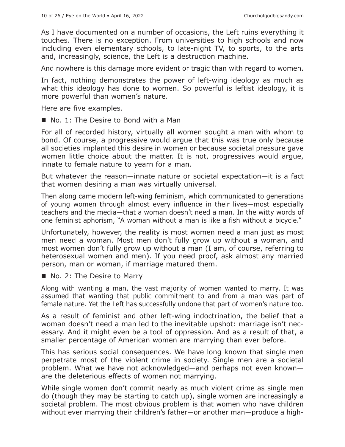As I have documented on a number of occasions, the Left ruins everything it touches. There is no exception. From universities to high schools and now including even elementary schools, to late-night TV, to sports, to the arts and, increasingly, science, the Left is a destruction machine.

And nowhere is this damage more evident or tragic than with regard to women.

In fact, nothing demonstrates the power of left-wing ideology as much as what this ideology has done to women. So powerful is leftist ideology, it is more powerful than women's nature.

Here are five examples.

■ No. 1: The Desire to Bond with a Man

For all of recorded history, virtually all women sought a man with whom to bond. Of course, a progressive would argue that this was true only because all societies implanted this desire in women or because societal pressure gave women little choice about the matter. It is not, progressives would argue, innate to female nature to yearn for a man.

But whatever the reason—innate nature or societal expectation—it is a fact that women desiring a man was virtually universal.

Then along came modern left-wing feminism, which communicated to generations of young women through almost every influence in their lives—most especially teachers and the media—that a woman doesn't need a man. In the witty words of one feminist aphorism, "A woman without a man is like a fish without a bicycle."

Unfortunately, however, the reality is most women need a man just as most men need a woman. Most men don't fully grow up without a woman, and most women don't fully grow up without a man (I am, of course, referring to heterosexual women and men). If you need proof, ask almost any married person, man or woman, if marriage matured them.

No. 2: The Desire to Marry

Along with wanting a man, the vast majority of women wanted to marry. It was assumed that wanting that public commitment to and from a man was part of female nature. Yet the Left has successfully undone that part of women's nature too.

As a result of feminist and other left-wing indoctrination, the belief that a woman doesn't need a man led to the inevitable upshot: marriage isn't necessary. And it might even be a tool of oppression. And as a result of that, a smaller percentage of American women are marrying than ever before.

This has serious social consequences. We have long known that single men perpetrate most of the violent crime in society. Single men are a societal problem. What we have not acknowledged—and perhaps not even known are the deleterious effects of women not marrying.

While single women don't commit nearly as much violent crime as single men do (though they may be starting to catch up), single women are increasingly a societal problem. The most obvious problem is that women who have children without ever marrying their children's father—or another man—produce a high-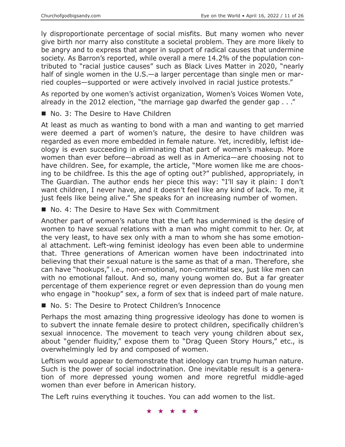ly disproportionate percentage of social misfits. But many women who never give birth nor marry also constitute a societal problem. They are more likely to be angry and to express that anger in support of radical causes that undermine society. As Barron's reported, while overall a mere 14.2% of the population contributed to "racial justice causes" such as Black Lives Matter in 2020, "nearly half of single women in the U.S.—a larger percentage than single men or married couples—supported or were actively involved in racial justice protests."

As reported by one women's activist organization, Women's Voices Women Vote, already in the 2012 election, "the marriage gap dwarfed the gender gap . . ."

No. 3: The Desire to Have Children

At least as much as wanting to bond with a man and wanting to get married were deemed a part of women's nature, the desire to have children was regarded as even more embedded in female nature. Yet, incredibly, leftist ideology is even succeeding in eliminating that part of women's makeup. More women than ever before—abroad as well as in America—are choosing not to have children. See, for example, the article, "More women like me are choosing to be childfree. Is this the age of opting out?" published, appropriately, in The Guardian. The author ends her piece this way: "I'll say it plain: I don't want children, I never have, and it doesn't feel like any kind of lack. To me, it just feels like being alive." She speaks for an increasing number of women.

■ No. 4: The Desire to Have Sex with Commitment

Another part of women's nature that the Left has undermined is the desire of women to have sexual relations with a man who might commit to her. Or, at the very least, to have sex only with a man to whom she has some emotional attachment. Left-wing feminist ideology has even been able to undermine that. Three generations of American women have been indoctrinated into believing that their sexual nature is the same as that of a man. Therefore, she can have "hookups," i.e., non-emotional, non-committal sex, just like men can with no emotional fallout. And so, many young women do. But a far greater percentage of them experience regret or even depression than do young men who engage in "hookup" sex, a form of sex that is indeed part of male nature.

■ No. 5: The Desire to Protect Children's Innocence

Perhaps the most amazing thing progressive ideology has done to women is to subvert the innate female desire to protect children, specifically children's sexual innocence. The movement to teach very young children about sex, about "gender fluidity," expose them to "Drag Queen Story Hours," etc., is overwhelmingly led by and composed of women.

Leftism would appear to demonstrate that ideology can trump human nature. Such is the power of social indoctrination. One inevitable result is a generation of more depressed young women and more regretful middle-aged women than ever before in American history.

The Left ruins everything it touches. You can add women to the list.

★★★★★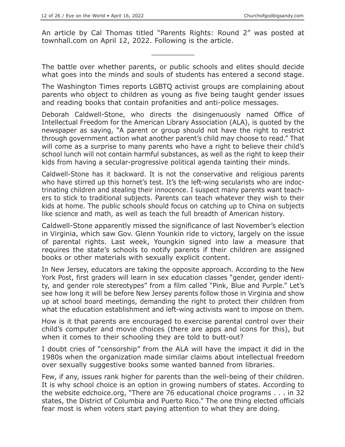An article by Cal Thomas titled "Parents Rights: Round 2" was posted at townhall.com on April 12, 2022. Following is the article.

 $\overline{\phantom{a}}$  , where  $\overline{\phantom{a}}$ 

The battle over whether parents, or public schools and elites should decide what goes into the minds and souls of students has entered a second stage.

The Washington Times reports LGBTQ activist groups are complaining about parents who object to children as young as five being taught gender issues and reading books that contain profanities and anti-police messages.

Deborah Caldwell-Stone, who directs the disingenuously named Office of Intellectual Freedom for the American Library Association (ALA), is quoted by the newspaper as saying, "A parent or group should not have the right to restrict through government action what another parent's child may choose to read." That will come as a surprise to many parents who have a right to believe their child's school lunch will not contain harmful substances, as well as the right to keep their kids from having a secular-progressive political agenda tainting their minds.

Caldwell-Stone has it backward. It is not the conservative and religious parents who have stirred up this hornet's test. It's the left-wing secularists who are indoctrinating children and stealing their innocence. I suspect many parents want teachers to stick to traditional subjects. Parents can teach whatever they wish to their kids at home. The public schools should focus on catching up to China on subjects like science and math, as well as teach the full breadth of American history.

Caldwell-Stone apparently missed the significance of last November's election in Virginia, which saw Gov. Glenn Younkin ride to victory, largely on the issue of parental rights. Last week, Youngkin signed into law a measure that requires the state's schools to notify parents if their children are assigned books or other materials with sexually explicit content.

In New Jersey, educators are taking the opposite approach. According to the New York Post, first graders will learn in sex education classes "gender, gender identity, and gender role stereotypes" from a film called "Pink, Blue and Purple." Let's see how long it will be before New Jersey parents follow those in Virginia and show up at school board meetings, demanding the right to protect their children from what the education establishment and left-wing activists want to impose on them.

How is it that parents are encouraged to exercise parental control over their child's computer and movie choices (there are apps and icons for this), but when it comes to their schooling they are told to butt-out?

I doubt cries of "censorship" from the ALA will have the impact it did in the 1980s when the organization made similar claims about intellectual freedom over sexually suggestive books some wanted banned from libraries.

Few, if any, issues rank higher for parents than the well-being of their children. It is why school choice is an option in growing numbers of states. According to the website edchoice.org, "There are 76 educational choice programs . . . in 32 states, the District of Columbia and Puerto Rico." The one thing elected officials fear most is when voters start paying attention to what they are doing.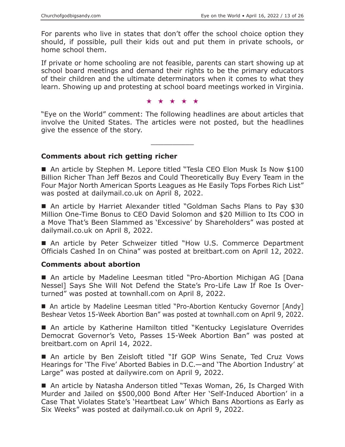For parents who live in states that don't offer the school choice option they should, if possible, pull their kids out and put them in private schools, or home school them.

If private or home schooling are not feasible, parents can start showing up at school board meetings and demand their rights to be the primary educators of their children and the ultimate determinators when it comes to what they learn. Showing up and protesting at school board meetings worked in Virginia.

★★★★★

"Eye on the World" comment: The following headlines are about articles that involve the United States. The articles were not posted, but the headlines give the essence of the story.

 $\overline{\phantom{a}}$  , where  $\overline{\phantom{a}}$ 

#### **Comments about rich getting richer**

■ An article by Stephen M. Lepore titled "Tesla CEO Elon Musk Is Now \$100 Billion Richer Than Jeff Bezos and Could Theoretically Buy Every Team in the Four Major North American Sports Leagues as He Easily Tops Forbes Rich List" was posted at dailymail.co.uk on April 8, 2022.

■ An article by Harriet Alexander titled "Goldman Sachs Plans to Pay \$30 Million One-Time Bonus to CEO David Solomon and \$20 Million to Its COO in a Move That's Been Slammed as 'Excessive' by Shareholders" was posted at dailymail.co.uk on April 8, 2022.

■ An article by Peter Schweizer titled "How U.S. Commerce Department Officials Cashed In on China" was posted at breitbart.com on April 12, 2022.

#### **Comments about abortion**

 An article by Madeline Leesman titled "Pro-Abortion Michigan AG [Dana Nessel] Says She Will Not Defend the State's Pro-Life Law If Roe Is Overturned" was posted at townhall.com on April 8, 2022.

■ An article by Madeline Leesman titled "Pro-Abortion Kentucky Governor [Andy] Beshear Vetos 15-Week Abortion Ban" was posted at townhall.com on April 9, 2022.

■ An article by Katherine Hamilton titled "Kentucky Legislature Overrides Democrat Governor's Veto, Passes 15-Week Abortion Ban" was posted at breitbart.com on April 14, 2022.

 An article by Ben Zeisloft titled "If GOP Wins Senate, Ted Cruz Vows Hearings for 'The Five' Aborted Babies in D.C.—and 'The Abortion Industry' at Large" was posted at dailywire.com on April 9, 2022.

■ An article by Natasha Anderson titled "Texas Woman, 26, Is Charged With Murder and Jailed on \$500,000 Bond After Her 'Self-Induced Abortion' in a Case That Violates State's 'Heartbeat Law' Which Bans Abortions as Early as Six Weeks" was posted at dailymail.co.uk on April 9, 2022.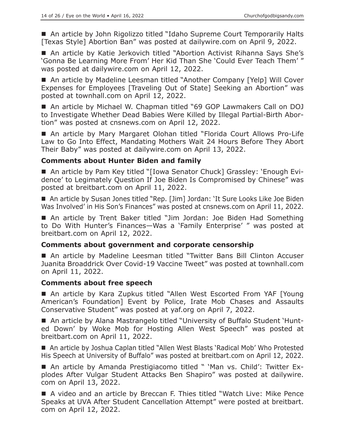■ An article by John Rigolizzo titled "Idaho Supreme Court Temporarily Halts [Texas Style] Abortion Ban" was posted at dailywire.com on April 9, 2022.

■ An article by Katie Jerkovich titled "Abortion Activist Rihanna Says She's 'Gonna Be Learning More From' Her Kid Than She 'Could Ever Teach Them' " was posted at dailywire.com on April 12, 2022.

■ An article by Madeline Leesman titled "Another Company [Yelp] Will Cover Expenses for Employees [Traveling Out of State] Seeking an Abortion" was posted at townhall.com on April 12, 2022.

■ An article by Michael W. Chapman titled "69 GOP Lawmakers Call on DOJ to Investigate Whether Dead Babies Were Killed by Illegal Partial-Birth Abortion" was posted at cnsnews.com on April 12, 2022.

■ An article by Mary Margaret Olohan titled "Florida Court Allows Pro-Life Law to Go Into Effect, Mandating Mothers Wait 24 Hours Before They Abort Their Baby" was posted at dailywire.com on April 13, 2022.

## **Comments about Hunter Biden and family**

■ An article by Pam Key titled "[Iowa Senator Chuck] Grassley: 'Enough Evidence' to Legimately Question If Joe Biden Is Compromised by Chinese" was posted at breitbart.com on April 11, 2022.

■ An article by Susan Jones titled "Rep. [Jim] Jordan: 'It Sure Looks Like Joe Biden Was Involved' in His Son's Finances" was posted at cnsnews.com on April 11, 2022.

 An article by Trent Baker titled "Jim Jordan: Joe Biden Had Something to Do With Hunter's Finances—Was a 'Family Enterprise' " was posted at breitbart.com on April 12, 2022.

## **Comments about government and corporate censorship**

■ An article by Madeline Leesman titled "Twitter Bans Bill Clinton Accuser Juanita Broaddrick Over Covid-19 Vaccine Tweet" was posted at townhall.com on April 11, 2022.

## **Comments about free speech**

■ An article by Kara Zupkus titled "Allen West Escorted From YAF [Young American's Foundation] Event by Police, Irate Mob Chases and Assaults Conservative Student" was posted at yaf.org on April 7, 2022.

■ An article by Alana Mastrangelo titled "University of Buffalo Student 'Hunted Down' by Woke Mob for Hosting Allen West Speech" was posted at breitbart.com on April 11, 2022.

■ An article by Joshua Caplan titled "Allen West Blasts 'Radical Mob' Who Protested His Speech at University of Buffalo" was posted at breitbart.com on April 12, 2022.

■ An article by Amanda Prestigiacomo titled " 'Man vs. Child': Twitter Explodes After Vulgar Student Attacks Ben Shapiro" was posted at dailywire. com on April 13, 2022.

■ A video and an article by Breccan F. Thies titled "Watch Live: Mike Pence Speaks at UVA After Student Cancellation Attempt" were posted at breitbart. com on April 12, 2022.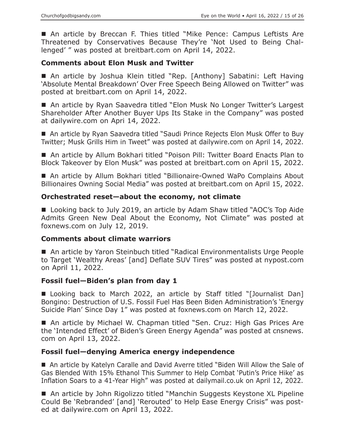■ An article by Breccan F. Thies titled "Mike Pence: Campus Leftists Are Threatened by Conservatives Because They're 'Not Used to Being Challenged' " was posted at breitbart.com on April 14, 2022.

## **Comments about Elon Musk and Twitter**

■ An article by Joshua Klein titled "Rep. [Anthony] Sabatini: Left Having 'Absolute Mental Breakdown' Over Free Speech Being Allowed on Twitter" was posted at breitbart.com on April 14, 2022.

■ An article by Ryan Saavedra titled "Elon Musk No Longer Twitter's Largest Shareholder After Another Buyer Ups Its Stake in the Company" was posted at dailywire.com on Apri 14, 2022.

■ An article by Ryan Saavedra titled "Saudi Prince Rejects Elon Musk Offer to Buy Twitter; Musk Grills Him in Tweet" was posted at dailywire.com on April 14, 2022.

■ An article by Allum Bokhari titled "Poison Pill: Twitter Board Enacts Plan to Block Takeover by Elon Musk" was posted at breitbart.com on April 15, 2022.

■ An article by Allum Bokhari titled "Billionaire-Owned WaPo Complains About Billionaires Owning Social Media" was posted at breitbart.com on April 15, 2022.

## **Orchestrated reset—about the economy, not climate**

■ Looking back to July 2019, an article by Adam Shaw titled "AOC's Top Aide Admits Green New Deal About the Economy, Not Climate" was posted at foxnews.com on July 12, 2019.

## **Comments about climate warriors**

■ An article by Yaron Steinbuch titled "Radical Environmentalists Urge People to Target 'Wealthy Areas' [and] Deflate SUV Tires" was posted at nypost.com on April 11, 2022.

## **Fossil fuel—Biden's plan from day 1**

■ Looking back to March 2022, an article by Staff titled "[Journalist Dan] Bongino: Destruction of U.S. Fossil Fuel Has Been Biden Administration's 'Energy Suicide Plan' Since Day 1" was posted at foxnews.com on March 12, 2022.

■ An article by Michael W. Chapman titled "Sen. Cruz: High Gas Prices Are the 'Intended Effect' of Biden's Green Energy Agenda" was posted at cnsnews. com on April 13, 2022.

## **Fossil fuel—denying America energy independence**

■ An article by Katelyn Caralle and David Averre titled "Biden Will Allow the Sale of Gas Blended With 15% Ethanol This Summer to Help Combat 'Putin's Price Hike' as Inflation Soars to a 41-Year High" was posted at dailymail.co.uk on April 12, 2022.

■ An article by John Rigolizzo titled "Manchin Suggests Keystone XL Pipeline Could Be 'Rebranded' [and] 'Rerouted' to Help Ease Energy Crisis" was posted at dailywire.com on April 13, 2022.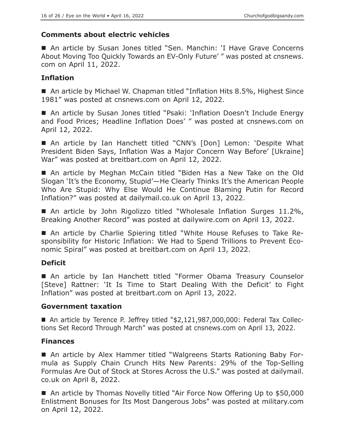## **Comments about electric vehicles**

■ An article by Susan Jones titled "Sen. Manchin: 'I Have Grave Concerns About Moving Too Quickly Towards an EV-Only Future' " was posted at cnsnews. com on April 11, 2022.

## **Inflation**

■ An article by Michael W. Chapman titled "Inflation Hits 8.5%, Highest Since 1981" was posted at cnsnews.com on April 12, 2022.

■ An article by Susan Jones titled "Psaki: 'Inflation Doesn't Include Energy and Food Prices; Headline Inflation Does' " was posted at cnsnews.com on April 12, 2022.

 An article by Ian Hanchett titled "CNN's [Don] Lemon: 'Despite What President Biden Says, Inflation Was a Major Concern Way Before' [Ukraine] War" was posted at breitbart.com on April 12, 2022.

 An article by Meghan McCain titled "Biden Has a New Take on the Old Slogan 'It's the Economy, Stupid'—He Clearly Thinks It's the American People Who Are Stupid: Why Else Would He Continue Blaming Putin for Record Inflation?" was posted at dailymail.co.uk on April 13, 2022.

■ An article by John Rigolizzo titled "Wholesale Inflation Surges 11.2%, Breaking Another Record" was posted at dailywire.com on April 13, 2022.

 An article by Charlie Spiering titled "White House Refuses to Take Responsibility for Historic Inflation: We Had to Spend Trillions to Prevent Economic Spiral" was posted at breitbart.com on April 13, 2022.

# **Deficit**

■ An article by Ian Hanchett titled "Former Obama Treasury Counselor [Steve] Rattner: 'It Is Time to Start Dealing With the Deficit' to Fight Inflation" was posted at breitbart.com on April 13, 2022.

## **Government taxation**

 An article by Terence P. Jeffrey titled "\$2,121,987,000,000: Federal Tax Collections Set Record Through March" was posted at cnsnews.com on April 13, 2022.

# **Finances**

 An article by Alex Hammer titled "Walgreens Starts Rationing Baby Formula as Supply Chain Crunch Hits New Parents: 29% of the Top-Selling Formulas Are Out of Stock at Stores Across the U.S." was posted at dailymail. co.uk on April 8, 2022.

■ An article by Thomas Novelly titled "Air Force Now Offering Up to \$50,000 Enlistment Bonuses for Its Most Dangerous Jobs" was posted at military.com on April 12, 2022.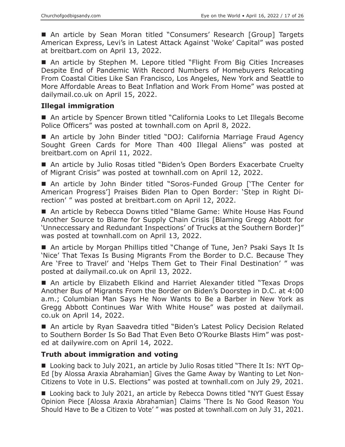■ An article by Sean Moran titled "Consumers' Research [Group] Targets American Express, Levi's in Latest Attack Against 'Woke' Capital" was posted at breitbart.com on April 13, 2022.

■ An article by Stephen M. Lepore titled "Flight From Big Cities Increases Despite End of Pandemic With Record Numbers of Homebuyers Relocating From Coastal Cities Like San Francisco, Los Angeles, New York and Seattle to More Affordable Areas to Beat Inflation and Work From Home" was posted at dailymail.co.uk on April 15, 2022.

#### **Illegal immigration**

■ An article by Spencer Brown titled "California Looks to Let Illegals Become Police Officers" was posted at townhall.com on April 8, 2022.

■ An article by John Binder titled "DOJ: California Marriage Fraud Agency Sought Green Cards for More Than 400 Illegal Aliens" was posted at breitbart.com on April 11, 2022.

■ An article by Julio Rosas titled "Biden's Open Borders Exacerbate Cruelty of Migrant Crisis" was posted at townhall.com on April 12, 2022.

■ An article by John Binder titled "Soros-Funded Group ['The Center for American Progress'] Praises Biden Plan to Open Border: 'Step in Right Direction' " was posted at breitbart.com on April 12, 2022.

■ An article by Rebecca Downs titled "Blame Game: White House Has Found Another Source to Blame for Supply Chain Crisis [Blaming Gregg Abbott for 'Unneccessary and Redundant Inspections' of Trucks at the Southern Border]" was posted at townhall.com on April 13, 2022.

■ An article by Morgan Phillips titled "Change of Tune, Jen? Psaki Says It Is 'Nice' That Texas Is Busing Migrants From the Border to D.C. Because They Are 'Free to Travel' and 'Helps Them Get to Their Final Destination' " was posted at dailymail.co.uk on April 13, 2022.

■ An article by Elizabeth Elkind and Harriet Alexander titled "Texas Drops Another Bus of Migrants From the Border on Biden's Doorstep in D.C. at 4:00 a.m.; Columbian Man Says He Now Wants to Be a Barber in New York as Gregg Abbott Continues War With White House" was posted at dailymail. co.uk on April 14, 2022.

■ An article by Ryan Saavedra titled "Biden's Latest Policy Decision Related to Southern Border Is So Bad That Even Beto O'Rourke Blasts Him" was posted at dailywire.com on April 14, 2022.

## **Truth about immigration and voting**

 Looking back to July 2021, an article by Julio Rosas titled "There It Is: NYT Op-Ed [by Alossa Araxia Abrahamian] Gives the Game Away by Wanting to Let Non-Citizens to Vote in U.S. Elections" was posted at townhall.com on July 29, 2021.

■ Looking back to July 2021, an article by Rebecca Downs titled "NYT Guest Essay Opinion Piece [Alossa Araxia Abrahamian] Claims 'There Is No Good Reason You Should Have to Be a Citizen to Vote' " was posted at townhall.com on July 31, 2021.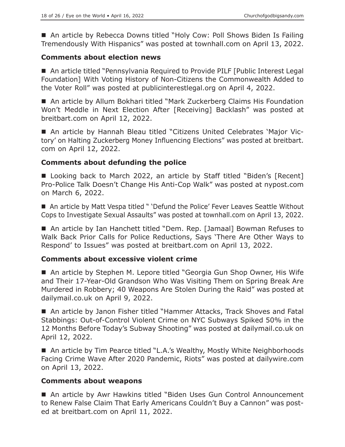■ An article by Rebecca Downs titled "Holy Cow: Poll Shows Biden Is Failing Tremendously With Hispanics" was posted at townhall.com on April 13, 2022.

## **Comments about election news**

■ An article titled "Pennsylvania Required to Provide PILF [Public Interest Legal Foundation] With Voting History of Non-Citizens the Commonwealth Added to the Voter Roll" was posted at publicinterestlegal.org on April 4, 2022.

■ An article by Allum Bokhari titled "Mark Zuckerberg Claims His Foundation Won't Meddle in Next Election After [Receiving] Backlash" was posted at breitbart.com on April 12, 2022.

 An article by Hannah Bleau titled "Citizens United Celebrates 'Major Victory' on Halting Zuckerberg Money Influencing Elections" was posted at breitbart. com on April 12, 2022.

## **Comments about defunding the police**

■ Looking back to March 2022, an article by Staff titled "Biden's [Recent] Pro-Police Talk Doesn't Change His Anti-Cop Walk" was posted at nypost.com on March 6, 2022.

■ An article by Matt Vespa titled " 'Defund the Police' Fever Leaves Seattle Without Cops to Investigate Sexual Assaults" was posted at townhall.com on April 13, 2022.

■ An article by Ian Hanchett titled "Dem. Rep. [Jamaal] Bowman Refuses to Walk Back Prior Calls for Police Reductions, Says 'There Are Other Ways to Respond' to Issues" was posted at breitbart.com on April 13, 2022.

## **Comments about excessive violent crime**

■ An article by Stephen M. Lepore titled "Georgia Gun Shop Owner, His Wife and Their 17-Year-Old Grandson Who Was Visiting Them on Spring Break Are Murdered in Robbery; 40 Weapons Are Stolen During the Raid" was posted at dailymail.co.uk on April 9, 2022.

■ An article by Janon Fisher titled "Hammer Attacks, Track Shoves and Fatal Stabbings: Out-of-Control Violent Crime on NYC Subways Spiked 50% in the 12 Months Before Today's Subway Shooting" was posted at dailymail.co.uk on April 12, 2022.

■ An article by Tim Pearce titled "L.A.'s Wealthy, Mostly White Neighborhoods Facing Crime Wave After 2020 Pandemic, Riots" was posted at dailywire.com on April 13, 2022.

## **Comments about weapons**

■ An article by Awr Hawkins titled "Biden Uses Gun Control Announcement to Renew False Claim That Early Americans Couldn't Buy a Cannon" was posted at breitbart.com on April 11, 2022.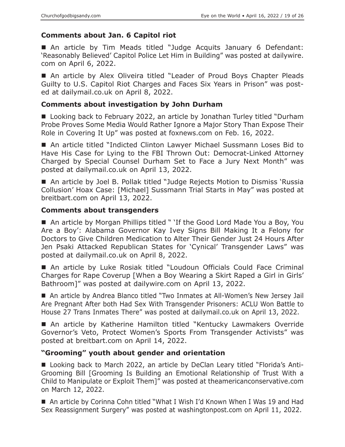# **Comments about Jan. 6 Capitol riot**

 An article by Tim Meads titled "Judge Acquits January 6 Defendant: 'Reasonably Believed' Capitol Police Let Him in Building" was posted at dailywire. com on April 6, 2022.

■ An article by Alex Oliveira titled "Leader of Proud Boys Chapter Pleads Guilty to U.S. Capitol Riot Charges and Faces Six Years in Prison" was posted at dailymail.co.uk on April 8, 2022.

## **Comments about investigation by John Durham**

■ Looking back to February 2022, an article by Jonathan Turley titled "Durham Probe Proves Some Media Would Rather Ignore a Major Story Than Expose Their Role in Covering It Up" was posted at foxnews.com on Feb. 16, 2022.

■ An article titled "Indicted Clinton Lawyer Michael Sussmann Loses Bid to Have His Case for Lying to the FBI Thrown Out: Democrat-Linked Attorney Charged by Special Counsel Durham Set to Face a Jury Next Month" was posted at dailymail.co.uk on April 13, 2022.

■ An article by Joel B. Pollak titled "Judge Rejects Motion to Dismiss 'Russia Collusion' Hoax Case: [Michael] Sussmann Trial Starts in May" was posted at breitbart.com on April 13, 2022.

## **Comments about transgenders**

■ An article by Morgan Phillips titled " 'If the Good Lord Made You a Boy, You Are a Boy': Alabama Governor Kay Ivey Signs Bill Making It a Felony for Doctors to Give Children Medication to Alter Their Gender Just 24 Hours After Jen Psaki Attacked Republican States for 'Cynical' Transgender Laws" was posted at dailymail.co.uk on April 8, 2022.

 An article by Luke Rosiak titled "Loudoun Officials Could Face Criminal Charges for Rape Coverup [When a Boy Wearing a Skirt Raped a Girl in Girls' Bathroom]" was posted at dailywire.com on April 13, 2022.

■ An article by Andrea Blanco titled "Two Inmates at All-Women's New Jersey Jail Are Pregnant After both Had Sex With Transgender Prisoners: ACLU Won Battle to House 27 Trans Inmates There" was posted at dailymail.co.uk on April 13, 2022.

 An article by Katherine Hamilton titled "Kentucky Lawmakers Override Governor's Veto, Protect Women's Sports From Transgender Activists" was posted at breitbart.com on April 14, 2022.

# **"Grooming" youth about gender and orientation**

■ Looking back to March 2022, an article by DeClan Leary titled "Florida's Anti-Grooming Bill [Grooming Is Building an Emotional Relationship of Trust With a Child to Manipulate or Exploit Them]" was posted at theamericanconservative.com on March 12, 2022.

■ An article by Corinna Cohn titled "What I Wish I'd Known When I Was 19 and Had Sex Reassignment Surgery" was posted at washingtonpost.com on April 11, 2022.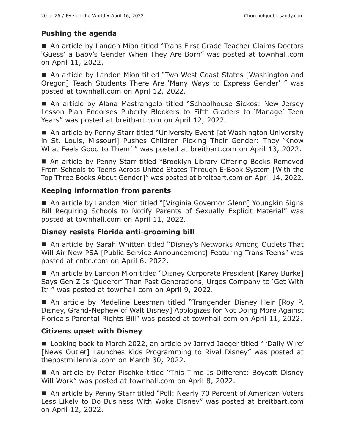# **Pushing the agenda**

■ An article by Landon Mion titled "Trans First Grade Teacher Claims Doctors 'Guess' a Baby's Gender When They Are Born" was posted at townhall.com on April 11, 2022.

■ An article by Landon Mion titled "Two West Coast States [Washington and Oregon] Teach Students There Are 'Many Ways to Express Gender' " was posted at townhall.com on April 12, 2022.

■ An article by Alana Mastrangelo titled "Schoolhouse Sickos: New Jersey Lesson Plan Endorses Puberty Blockers to Fifth Graders to 'Manage' Teen Years" was posted at breitbart.com on April 12, 2022.

■ An article by Penny Starr titled "University Event [at Washington University in St. Louis, Missouri] Pushes Children Picking Their Gender: They 'Know What Feels Good to Them' " was posted at breitbart.com on April 13, 2022.

■ An article by Penny Starr titled "Brooklyn Library Offering Books Removed From Schools to Teens Across United States Through E-Book System [With the Top Three Books About Gender]" was posted at breitbart.com on April 14, 2022.

## **Keeping information from parents**

■ An article by Landon Mion titled "[Virginia Governor Glenn] Youngkin Signs Bill Requiring Schools to Notify Parents of Sexually Explicit Material" was posted at townhall.com on April 11, 2022.

## **Disney resists Florida anti-grooming bill**

■ An article by Sarah Whitten titled "Disney's Networks Among Outlets That Will Air New PSA [Public Service Announcement] Featuring Trans Teens" was posted at cnbc.com on April 6, 2022.

■ An article by Landon Mion titled "Disney Corporate President [Karey Burke] Says Gen Z Is 'Queerer' Than Past Generations, Urges Company to 'Get With It' " was posted at townhall.com on April 9, 2022.

 An article by Madeline Leesman titled "Trangender Disney Heir [Roy P. Disney, Grand-Nephew of Walt Disney] Apologizes for Not Doing More Against Florida's Parental Rights Bill" was posted at townhall.com on April 11, 2022.

## **Citizens upset with Disney**

■ Looking back to March 2022, an article by Jarryd Jaeger titled " 'Daily Wire' [News Outlet] Launches Kids Programming to Rival Disney" was posted at thepostmillennial.com on March 30, 2022.

■ An article by Peter Pischke titled "This Time Is Different; Boycott Disney Will Work" was posted at townhall.com on April 8, 2022.

■ An article by Penny Starr titled "Poll: Nearly 70 Percent of American Voters Less Likely to Do Business With Woke Disney" was posted at breitbart.com on April 12, 2022.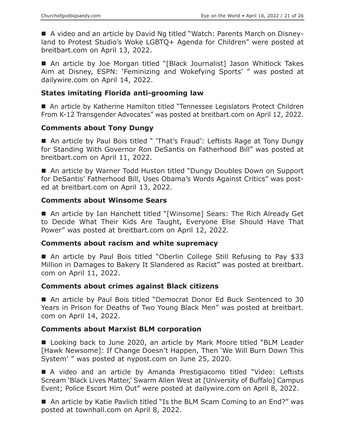A video and an article by David Ng titled "Watch: Parents March on Disneyland to Protest Studio's Woke LGBTQ+ Agenda for Children" were posted at breitbart.com on April 13, 2022.

■ An article by Joe Morgan titled "[Black Journalist] Jason Whitlock Takes Aim at Disney, ESPN: 'Feminizing and Wokefying Sports' " was posted at dailywire.com on April 14, 2022.

## **States imitating Florida anti-grooming law**

■ An article by Katherine Hamilton titled "Tennessee Legislators Protect Children From K-12 Transgender Advocates" was posted at breitbart.com on April 12, 2022.

## **Comments about Tony Dungy**

■ An article by Paul Bois titled " 'That's Fraud': Leftists Rage at Tony Dungy for Standing With Governor Ron DeSantis on Fatherhood Bill" was posted at breitbart.com on April 11, 2022.

■ An article by Warner Todd Huston titled "Dungy Doubles Down on Support for DeSantis' Fatherhood Bill, Uses Obama's Words Against Critics" was posted at breitbart.com on April 13, 2022.

## **Comments about Winsome Sears**

■ An article by Ian Hanchett titled "[Winsome] Sears: The Rich Already Get to Decide What Their Kids Are Taught, Everyone Else Should Have That Power" was posted at breitbart.com on April 12, 2022.

## **Comments about racism and white supremacy**

 An article by Paul Bois titled "Oberlin College Still Refusing to Pay \$33 Million in Damages to Bakery It Slandered as Racist" was posted at breitbart. com on April 11, 2022.

## **Comments about crimes against Black citizens**

■ An article by Paul Bois titled "Democrat Donor Ed Buck Sentenced to 30 Years in Prison for Deaths of Two Young Black Men" was posted at breitbart. com on April 14, 2022.

## **Comments about Marxist BLM corporation**

■ Looking back to June 2020, an article by Mark Moore titled "BLM Leader [Hawk Newsome]: If Change Doesn't Happen, Then 'We Will Burn Down This System' " was posted at nypost.com on June 25, 2020.

 A video and an article by Amanda Prestigiacomo titled "Video: Leftists Scream 'Black Lives Matter,' Swarm Allen West at [University of Buffalo] Campus Event; Police Escort Him Out" were posted at dailywire.com on April 8, 2022.

■ An article by Katie Pavlich titled "Is the BLM Scam Coming to an End?" was posted at townhall.com on April 8, 2022.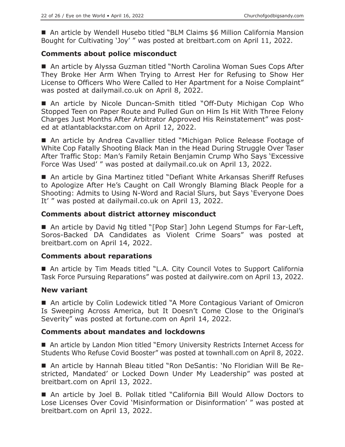■ An article by Wendell Husebo titled "BLM Claims \$6 Million California Mansion Bought for Cultivating 'Joy' " was posted at breitbart.com on April 11, 2022.

## **Comments about police misconduct**

■ An article by Alyssa Guzman titled "North Carolina Woman Sues Cops After They Broke Her Arm When Trying to Arrest Her for Refusing to Show Her License to Officers Who Were Called to Her Apartment for a Noise Complaint" was posted at dailymail.co.uk on April 8, 2022.

 An article by Nicole Duncan-Smith titled "Off-Duty Michigan Cop Who Stopped Teen on Paper Route and Pulled Gun on Him Is Hit With Three Felony Charges Just Months After Arbitrator Approved His Reinstatement" was posted at atlantablackstar.com on April 12, 2022.

■ An article by Andrea Cavallier titled "Michigan Police Release Footage of White Cop Fatally Shooting Black Man in the Head During Struggle Over Taser After Traffic Stop: Man's Family Retain Benjamin Crump Who Says 'Excessive Force Was Used' " was posted at dailymail.co.uk on April 13, 2022.

■ An article by Gina Martinez titled "Defiant White Arkansas Sheriff Refuses to Apologize After He's Caught on Call Wrongly Blaming Black People for a Shooting: Admits to Using N-Word and Racial Slurs, but Says 'Everyone Does It' " was posted at dailymail.co.uk on April 13, 2022.

## **Comments about district attorney misconduct**

■ An article by David Ng titled "[Pop Star] John Legend Stumps for Far-Left, Soros-Backed DA Candidates as Violent Crime Soars" was posted at breitbart.com on April 14, 2022.

## **Comments about reparations**

■ An article by Tim Meads titled "L.A. City Council Votes to Support California Task Force Pursuing Reparations" was posted at dailywire.com on April 13, 2022.

## **New variant**

■ An article by Colin Lodewick titled "A More Contagious Variant of Omicron Is Sweeping Across America, but It Doesn't Come Close to the Original's Severity" was posted at fortune.com on April 14, 2022.

## **Comments about mandates and lockdowns**

■ An article by Landon Mion titled "Emory University Restricts Internet Access for Students Who Refuse Covid Booster" was posted at townhall.com on April 8, 2022.

 An article by Hannah Bleau titled "Ron DeSantis: 'No Floridian Will Be Restricted, Mandated' or Locked Down Under My Leadership" was posted at breitbart.com on April 13, 2022.

 An article by Joel B. Pollak titled "California Bill Would Allow Doctors to Lose Licenses Over Covid 'Misinformation or Disinformation' " was posted at breitbart.com on April 13, 2022.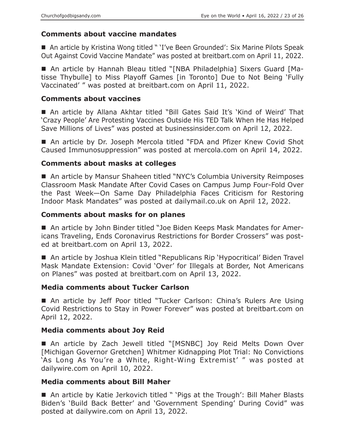# **Comments about vaccine mandates**

■ An article by Kristina Wong titled " 'I've Been Grounded': Six Marine Pilots Speak Out Against Covid Vaccine Mandate" was posted at breitbart.com on April 11, 2022.

 An article by Hannah Bleau titled "[NBA Philadelphia] Sixers Guard [Matisse Thybulle] to Miss Playoff Games [in Toronto] Due to Not Being 'Fully Vaccinated' " was posted at breitbart.com on April 11, 2022.

## **Comments about vaccines**

 An article by Allana Akhtar titled "Bill Gates Said It's 'Kind of Weird' That 'Crazy People' Are Protesting Vaccines Outside His TED Talk When He Has Helped Save Millions of Lives" was posted at businessinsider.com on April 12, 2022.

■ An article by Dr. Joseph Mercola titled "FDA and Pfizer Knew Covid Shot Caused Immunosuppression" was posted at mercola.com on April 14, 2022.

## **Comments about masks at colleges**

■ An article by Mansur Shaheen titled "NYC's Columbia University Reimposes Classroom Mask Mandate After Covid Cases on Campus Jump Four-Fold Over the Past Week—On Same Day Philadelphia Faces Criticism for Restoring Indoor Mask Mandates" was posted at dailymail.co.uk on April 12, 2022.

## **Comments about masks for on planes**

■ An article by John Binder titled "Joe Biden Keeps Mask Mandates for Americans Traveling, Ends Coronavirus Restrictions for Border Crossers" was posted at breitbart.com on April 13, 2022.

■ An article by Joshua Klein titled "Republicans Rip 'Hypocritical' Biden Travel Mask Mandate Extension: Covid 'Over' for Illegals at Border, Not Americans on Planes" was posted at breitbart.com on April 13, 2022.

## **Media comments about Tucker Carlson**

■ An article by Jeff Poor titled "Tucker Carlson: China's Rulers Are Using Covid Restrictions to Stay in Power Forever" was posted at breitbart.com on April 12, 2022.

## **Media comments about Joy Reid**

■ An article by Zach Jewell titled "[MSNBC] Joy Reid Melts Down Over [Michigan Governor Gretchen] Whitmer Kidnapping Plot Trial: No Convictions 'As Long As You're a White, Right-Wing Extremist' " was posted at dailywire.com on April 10, 2022.

## **Media comments about Bill Maher**

■ An article by Katie Jerkovich titled " 'Pigs at the Trough': Bill Maher Blasts Biden's 'Build Back Better' and 'Government Spending' During Covid" was posted at dailywire.com on April 13, 2022.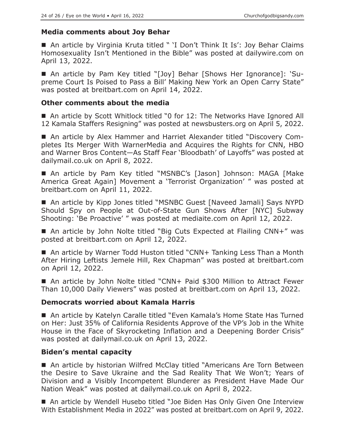## **Media comments about Joy Behar**

■ An article by Virginia Kruta titled " 'I Don't Think It Is': Joy Behar Claims Homosexuality Isn't Mentioned in the Bible" was posted at dailywire.com on April 13, 2022.

 An article by Pam Key titled "[Joy] Behar [Shows Her Ignorance]: 'Supreme Court Is Poised to Pass a Bill' Making New York an Open Carry State" was posted at breitbart.com on April 14, 2022.

#### **Other comments about the media**

■ An article by Scott Whitlock titled "0 for 12: The Networks Have Ignored All 12 Kamala Staffers Resigning" was posted at newsbusters.org on April 5, 2022.

 An article by Alex Hammer and Harriet Alexander titled "Discovery Completes Its Merger With WarnerMedia and Acquires the Rights for CNN, HBO and Warner Bros Content—As Staff Fear 'Bloodbath' of Layoffs" was posted at dailymail.co.uk on April 8, 2022.

 An article by Pam Key titled "MSNBC's [Jason] Johnson: MAGA [Make America Great Again] Movement a 'Terrorist Organization' " was posted at breitbart.com on April 11, 2022.

 An article by Kipp Jones titled "MSNBC Guest [Naveed Jamali] Says NYPD Should Spy on People at Out-of-State Gun Shows After [NYC] Subway Shooting: 'Be Proactive' " was posted at mediaite.com on April 12, 2022.

■ An article by John Nolte titled "Big Cuts Expected at Flailing CNN+" was posted at breitbart.com on April 12, 2022.

■ An article by Warner Todd Huston titled "CNN+ Tanking Less Than a Month After Hiring Leftists Jemele Hill, Rex Chapman" was posted at breitbart.com on April 12, 2022.

■ An article by John Nolte titled "CNN+ Paid \$300 Million to Attract Fewer Than 10,000 Daily Viewers" was posted at breitbart.com on April 13, 2022.

## **Democrats worried about Kamala Harris**

■ An article by Katelyn Caralle titled "Even Kamala's Home State Has Turned on Her: Just 35% of California Residents Approve of the VP's Job in the White House in the Face of Skyrocketing Inflation and a Deepening Border Crisis" was posted at dailymail.co.uk on April 13, 2022.

## **Biden's mental capacity**

 An article by historian Wilfred McClay titled "Americans Are Torn Between the Desire to Save Ukraine and the Sad Reality That We Won't; Years of Division and a Visibly Incompetent Blunderer as President Have Made Our Nation Weak" was posted at dailymail.co.uk on April 8, 2022.

 An article by Wendell Husebo titled "Joe Biden Has Only Given One Interview With Establishment Media in 2022" was posted at breitbart.com on April 9, 2022.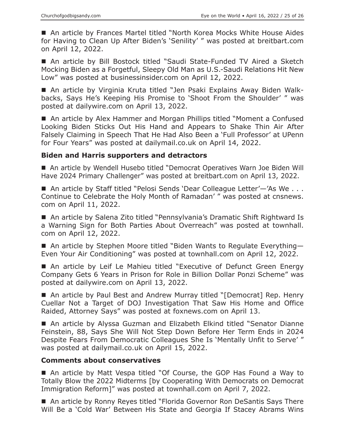■ An article by Frances Martel titled "North Korea Mocks White House Aides for Having to Clean Up After Biden's 'Senility' " was posted at breitbart.com on April 12, 2022.

■ An article by Bill Bostock titled "Saudi State-Funded TV Aired a Sketch Mocking Biden as a Forgetful, Sleepy Old Man as U.S.-Saudi Relations Hit New Low" was posted at businessinsider.com on April 12, 2022.

 An article by Virginia Kruta titled "Jen Psaki Explains Away Biden Walkbacks, Says He's Keeping His Promise to 'Shoot From the Shoulder' " was posted at dailywire.com on April 13, 2022.

■ An article by Alex Hammer and Morgan Phillips titled "Moment a Confused Looking Biden Sticks Out His Hand and Appears to Shake Thin Air After Falsely Claiming in Speech That He Had Also Been a 'Full Professor' at UPenn for Four Years" was posted at dailymail.co.uk on April 14, 2022.

#### **Biden and Harris supporters and detractors**

 An article by Wendell Husebo titled "Democrat Operatives Warn Joe Biden Will Have 2024 Primary Challenger" was posted at breitbart.com on April 13, 2022.

■ An article by Staff titled "Pelosi Sends 'Dear Colleague Letter'–'As We . . . Continue to Celebrate the Holy Month of Ramadan' " was posted at cnsnews. com on April 11, 2022.

■ An article by Salena Zito titled "Pennsylvania's Dramatic Shift Rightward Is a Warning Sign for Both Parties About Overreach" was posted at townhall. com on April 12, 2022.

■ An article by Stephen Moore titled "Biden Wants to Regulate Everything-Even Your Air Conditioning" was posted at townhall.com on April 12, 2022.

■ An article by Leif Le Mahieu titled "Executive of Defunct Green Energy Company Gets 6 Years in Prison for Role in Billion Dollar Ponzi Scheme" was posted at dailywire.com on April 13, 2022.

■ An article by Paul Best and Andrew Murray titled "[Democrat] Rep. Henry Cuellar Not a Target of DOJ Investigation That Saw His Home and Office Raided, Attorney Says" was posted at foxnews.com on April 13.

 An article by Alyssa Guzman and Elizabeth Elkind titled "Senator Dianne Feinstein, 88, Says She Will Not Step Down Before Her Term Ends in 2024 Despite Fears From Democratic Colleagues She Is 'Mentally Unfit to Serve' " was posted at dailymail.co.uk on April 15, 2022.

#### **Comments about conservatives**

■ An article by Matt Vespa titled "Of Course, the GOP Has Found a Way to Totally Blow the 2022 Midterms [by Cooperating With Democrats on Democrat Immigration Reform]" was posted at townhall.com on April 7, 2022.

■ An article by Ronny Reyes titled "Florida Governor Ron DeSantis Says There Will Be a 'Cold War' Between His State and Georgia If Stacey Abrams Wins